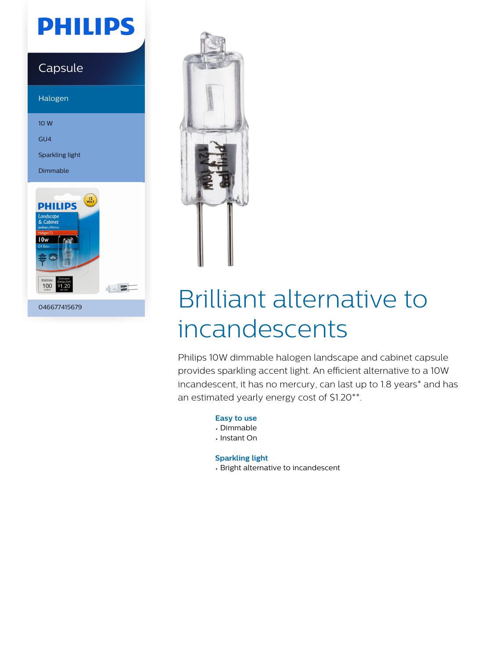# **PHILIPS**

### Capsule

Halogen

10 W

GU4

Sparkling light

Dimmable



046677415679



# Brilliant alternative to incandescents

Philips 10W dimmable halogen landscape and cabinet capsule provides sparkling accent light. An efficient alternative to a 10W incandescent, it has no mercury, can last up to 1.8 years\* and has an estimated yearly energy cost of \$1.20\*\*.

**Easy to use**

- Dimmable
- Instant On

**Sparkling light**

• Bright alternative to incandescent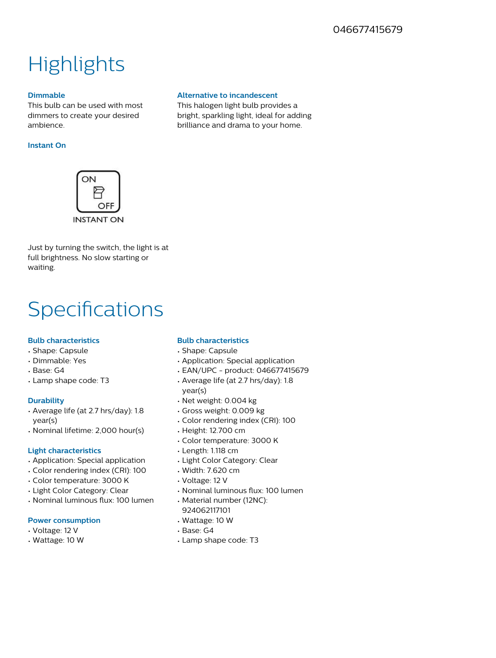## **Highlights**

#### **Dimmable**

This bulb can be used with most dimmers to create your desired ambience.

#### **Instant On**



Just by turning the switch, the light is at full brightness. No slow starting or waiting.

### **Specifications**

#### **Bulb characteristics**

- Shape: Capsule
- Dimmable: Yes
- Base: G4
- Lamp shape code: T3

#### **Durability**

- Average life (at 2.7 hrs/day): 1.8 year(s)
- Nominal lifetime: 2,000 hour(s)

#### **Light characteristics**

- Application: Special application
- Color rendering index (CRI): 100
- Color temperature: 3000 K
- Light Color Category: Clear
- Nominal luminous flux: 100 lumen

#### **Power consumption**

- Voltage: 12 V
- Wattage: 10 W

#### **Bulb characteristics**

- Shape: Capsule
- Application: Special application

**Alternative to incandescent** This halogen light bulb provides a bright, sparkling light, ideal for adding brilliance and drama to your home.

- EAN/UPC product: 046677415679
- Average life (at 2.7 hrs/day): 1.8 year(s)
- Net weight: 0.004 kg
- Gross weight: 0.009 kg
- Color rendering index (CRI): 100
- Height: 12.700 cm
- Color temperature: 3000 K
- Length: 1.118 cm
- Light Color Category: Clear
- Width: 7.620 cm
- Voltage: 12 V
- Nominal luminous flux: 100 lumen
- Material number (12NC): 924062117101
- Wattage: 10 W
- Base: G4
- Lamp shape code: T3